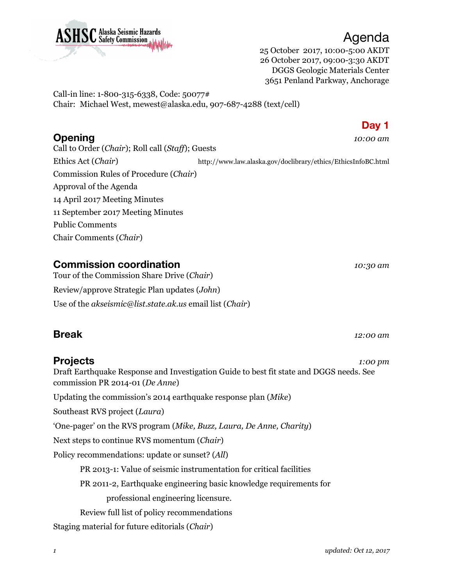

Agenda 25 October 2017, 10:00-5:00 AKDT 26 October 2017, 09:00-3:30 AKDT DGGS Geologic Materials Center

3651 Penland Parkway, Anchorage

Call-in line: 1-800-315-6338, Code: 50077# Chair: Michael West, mewest@alaska.edu, 907-687-4288 (text/cell)

Call to Order (*Chair*); Roll call (*Staff*); Guests Ethics Act (*Chair*) http://www.law.alaska.gov/doclibrary/ethics/EthicsInfoBC.html Commission Rules of Procedure (*Chair*) Approval of the Agenda 14 April 2017 Meeting Minutes 11 September 2017 Meeting Minutes Public Comments Chair Comments (*Chair*)

### **Commission coordination** *10:30 am*

Tour of the Commission Share Drive (*Chair*) Review/approve Strategic Plan updates (*John*) Use of the *akseismic@list.state.ak.us* email list (*Chair*)

## **Break** *12:00 am*

#### **Projects** *1:00 pm*

Draft Earthquake Response and Investigation Guide to best fit state and DGGS needs. See commission PR 2014-01 (*De Anne*)

Updating the commission's 2014 earthquake response plan (*Mike*)

Southeast RVS project (*Laura*)

'One-pager' on the RVS program (*Mike, Buzz, Laura, De Anne, Charity*)

Next steps to continue RVS momentum (*Chair*)

Policy recommendations: update or sunset? (*All*)

PR 2013-1: Value of seismic instrumentation for critical facilities

PR 2011-2, Earthquake engineering basic knowledge requirements for

professional engineering licensure.

Review full list of policy recommendations

Staging material for future editorials (*Chair*)